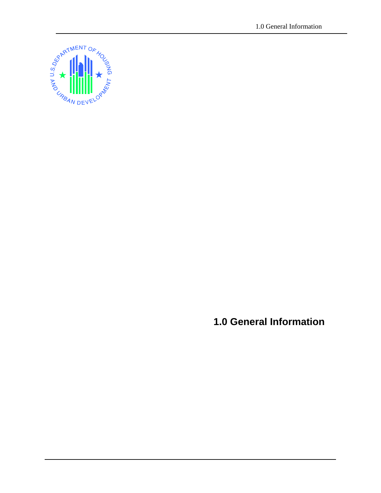

**1.0 General Information**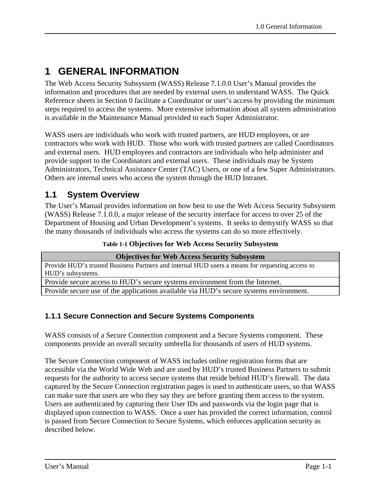# **1 GENERAL INFORMATION**

The Web Access Security Subsystem (WASS) Release 7.1.0.0 User's Manual provides the information and procedures that are needed by external users to understand WASS. The Quick Reference sheets in Section 0 facilitate a Coordinator or user's access by providing the minimum steps required to access the systems. More extensive information about all system administration is available in the Maintenance Manual provided to each Super Administrator.

WASS users are individuals who work with trusted partners, are HUD employees, or are contractors who work with HUD. Those who work with trusted partners are called Coordinators and external users. HUD employees and contractors are individuals who help administer and provide support to the Coordinators and external users. These individuals may be System Administrators, Technical Assistance Center (TAC) Users, or one of a few Super Administrators. Others are internal users who access the system through the HUD Intranet.

# **1.1 System Overview**

The User's Manual provides information on how best to use the Web Access Security Subsystem (WASS) Release 7.1.0.0, a major release of the security interface for access to over 25 of the Department of Housing and Urban Development's systems. It seeks to demystify WASS so that the many thousands of individuals who access the systems can do so more effectively.

| Table 1-1 Objectives for Web Access Security Subsystem |  |  |  |  |  |  |
|--------------------------------------------------------|--|--|--|--|--|--|
|--------------------------------------------------------|--|--|--|--|--|--|

| <b>Objectives for Web Access Security Subsystem</b>                                             |
|-------------------------------------------------------------------------------------------------|
| Provide HUD's trusted Business Partners and internal HUD users a means for requesting access to |
| HUD's subsystems.                                                                               |
| Provide secure access to HUD's secure systems environment from the Internet.                    |
| Provide secure use of the applications available via HUD's secure systems environment.          |
|                                                                                                 |

## **1.1.1 Secure Connection and Secure Systems Components**

WASS consists of a Secure Connection component and a Secure Systems component. These components provide an overall security umbrella for thousands of users of HUD systems.

The Secure Connection component of WASS includes online registration forms that are accessible via the World Wide Web and are used by HUD's trusted Business Partners to submit requests for the authority to access secure systems that reside behind HUD's firewall. The data captured by the Secure Connection registration pages is used to authenticate users, so that WASS can make sure that users are who they say they are before granting them access to the system. Users are authenticated by capturing their User IDs and passwords via the login page that is displayed upon connection to WASS. Once a user has provided the correct information, control is passed from Secure Connection to Secure Systems, which enforces application security as described below.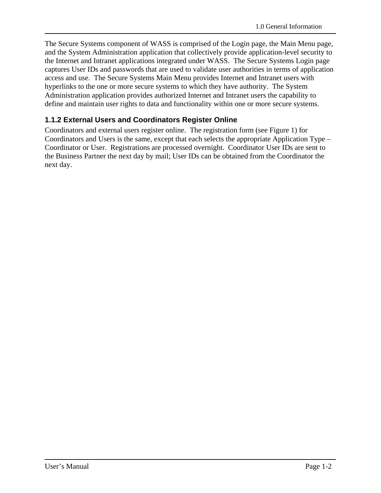The Secure Systems component of WASS is comprised of the Login page, the Main Menu page, and the System Administration application that collectively provide application-level security to the Internet and Intranet applications integrated under WASS. The Secure Systems Login page captures User IDs and passwords that are used to validate user authorities in terms of application access and use. The Secure Systems Main Menu provides Internet and Intranet users with hyperlinks to the one or more secure systems to which they have authority. The System Administration application provides authorized Internet and Intranet users the capability to define and maintain user rights to data and functionality within one or more secure systems.

## **1.1.2 External Users and Coordinators Register Online**

Coordinators and external users register online. The registration form (see Figure 1) for Coordinators and Users is the same, except that each selects the appropriate Application Type – Coordinator or User. Registrations are processed overnight. Coordinator User IDs are sent to the Business Partner the next day by mail; User IDs can be obtained from the Coordinator the next day.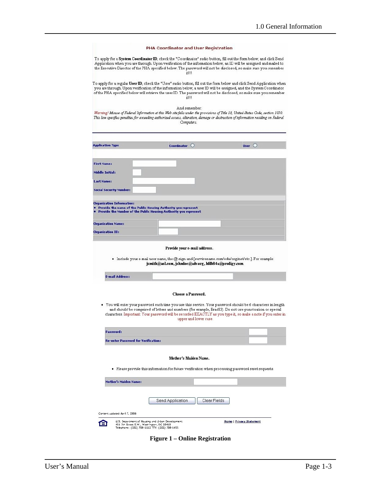|                                     | PHA Coordinator and User Registration                                                                                                                                                                                                                                                                                                                                                   |                 |
|-------------------------------------|-----------------------------------------------------------------------------------------------------------------------------------------------------------------------------------------------------------------------------------------------------------------------------------------------------------------------------------------------------------------------------------------|-----------------|
|                                     | To apply for a <b>System Coordinator ID</b> , check the "Coordinator" radio button, fill out the form below, and click Send<br>Application when you are through. Upon verification of the information below, an ID will be assigned and mailed to<br>the Executive Director of the PHA specified below. The password will not be disclosed, so make sure you remember<br>itIII          |                 |
|                                     | To apply for a regular User ID, check the "User" radio button, fill out the form below and click Send Application when<br>you are through. Upon verification of the information below, a user ID will be assigned, and the System Coordinator<br>of the PHA specified below will retrieve the user ID. The password will not be disclosed, so make sure you remember<br>it!!!           |                 |
|                                     | And remember:<br>Warning! Misuse of Federal Information at this Web site falls under the provisions of Title 18, United States Code, section 1030.<br>This law specifies penalties for exceeding authorized access, alteration, damage or destruction of information residing on Federal<br>Computers.                                                                                  |                 |
| <b>Application Type</b>             | Coordinator ()                                                                                                                                                                                                                                                                                                                                                                          | User $\bigcirc$ |
|                                     |                                                                                                                                                                                                                                                                                                                                                                                         |                 |
| <b>First Name:</b>                  |                                                                                                                                                                                                                                                                                                                                                                                         |                 |
| <b>Middle Initial:</b>              |                                                                                                                                                                                                                                                                                                                                                                                         |                 |
| Last Name:                          |                                                                                                                                                                                                                                                                                                                                                                                         |                 |
| <b>Social Security Number:</b>      |                                                                                                                                                                                                                                                                                                                                                                                         |                 |
| <b>Organization Information:</b>    |                                                                                                                                                                                                                                                                                                                                                                                         |                 |
|                                     | Provide the name of the Public Housing Authority you represent<br>Provide the Number of the Public Housing Authority you represent                                                                                                                                                                                                                                                      |                 |
| <b>Organization Name:</b>           |                                                                                                                                                                                                                                                                                                                                                                                         |                 |
|                                     |                                                                                                                                                                                                                                                                                                                                                                                         |                 |
| <b>Organization ID:</b>             |                                                                                                                                                                                                                                                                                                                                                                                         |                 |
|                                     | Provide your e-mail address.<br>Include your e-mail user name, the @ sign and [servicename.com/edu/org/net/etc.]. For example:<br>jsmith@aol.com, johndoe@adv.org, hfdb84a@prodigy.com.                                                                                                                                                                                                 |                 |
| <b>E-mail Address:</b>              |                                                                                                                                                                                                                                                                                                                                                                                         |                 |
|                                     | Choose a Password.<br>• You will enter your password each time you use this service. Your password should be 6 characters in length<br>and should be comprised of letters and numbers (for example, Brad83). Do not use punctuation or special<br>characters. Important: Your password will be recorded EXACTLY as you type it, so make a note if you enter in<br>upper and lower case. |                 |
| Password:                           |                                                                                                                                                                                                                                                                                                                                                                                         |                 |
| Re-enter Password for Verification: |                                                                                                                                                                                                                                                                                                                                                                                         |                 |
|                                     |                                                                                                                                                                                                                                                                                                                                                                                         |                 |
|                                     | Mother's Maiden Name.<br>. Please provide this information for future verification when processing password reset requests.                                                                                                                                                                                                                                                             |                 |
| <b>Mother's Maiden Name:</b>        |                                                                                                                                                                                                                                                                                                                                                                                         |                 |
|                                     |                                                                                                                                                                                                                                                                                                                                                                                         |                 |
|                                     | Send Application<br>Clear Fields                                                                                                                                                                                                                                                                                                                                                        |                 |
| Content updated April 7, 2006       |                                                                                                                                                                                                                                                                                                                                                                                         |                 |

**Figure 1 – Online Registration**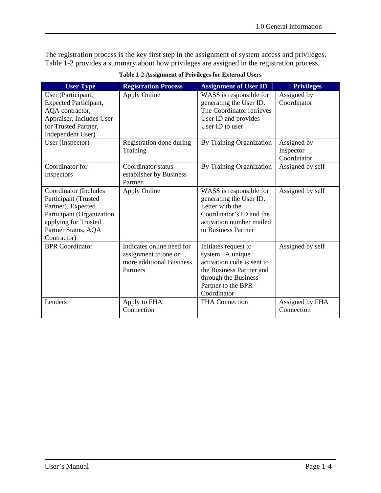The registration process is the key first step in the assignment of system access and privileges. Table 1-2 provides a summary about how privileges are assigned in the registration process.

| <b>User Type</b>                                                                                                                                               | <b>Registration Process</b>                                                               | <b>Assignment of User ID</b>                                                                                                                                    | <b>Privileges</b>                       |
|----------------------------------------------------------------------------------------------------------------------------------------------------------------|-------------------------------------------------------------------------------------------|-----------------------------------------------------------------------------------------------------------------------------------------------------------------|-----------------------------------------|
| User (Participant,<br><b>Expected Participant,</b><br>AQA contractor,<br>Appraiser, Includes User<br>for Trusted Partner,<br>Independent User)                 | Apply Online                                                                              | WASS is responsible for<br>generating the User ID.<br>The Coordinator retrieves<br>User ID and provides<br>User ID to user                                      | Assigned by<br>Coordinator              |
| User (Inspector)                                                                                                                                               | Registration done during<br>Training                                                      | By Training Organization                                                                                                                                        | Assigned by<br>Inspector<br>Coordinator |
| Coordinator for<br>Inspectors                                                                                                                                  | Coordinator status<br>establisher by Business<br>Partner                                  | By Training Organization                                                                                                                                        | Assigned by self                        |
| Coordinator (Includes<br>Participant (Trusted<br>Partner), Expected<br>Participant (Organization<br>applying for Trusted<br>Partner Status, AQA<br>Contractor) | <b>Apply Online</b>                                                                       | WASS is responsible for<br>generating the User ID.<br>Letter with the<br>Coordinator's ID and the<br>activation number mailed<br>to Business Partner            | Assigned by self                        |
| <b>BPR</b> Coordinator                                                                                                                                         | Indicates online need for<br>assignment to one or<br>more additional Business<br>Partners | Initiates request to<br>system. A unique<br>activation code is sent to<br>the Business Partner and<br>through the Business<br>Partner to the BPR<br>Coordinator | Assigned by self                        |
| Lenders                                                                                                                                                        | Apply to FHA<br>Connection                                                                | <b>FHA</b> Connection                                                                                                                                           | Assigned by FHA<br>Connection           |

**Table 1-2 Assignment of Privileges for External Users**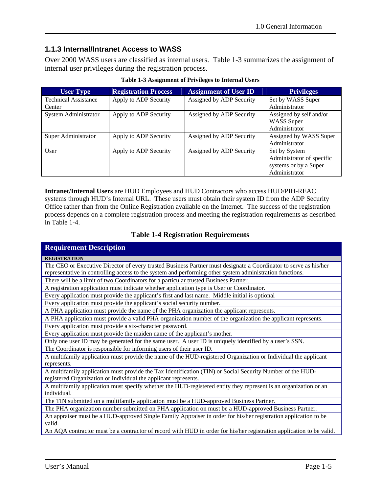### **1.1.3 Internal/Intranet Access to WASS**

Over 2000 WASS users are classified as internal users. Table 1-3 summarizes the assignment of internal user privileges during the registration process.

| <b>User Type</b>            | <b>Registration Process</b> | <b>Assignment of User ID</b> | <b>Privileges</b>         |
|-----------------------------|-----------------------------|------------------------------|---------------------------|
| <b>Technical Assistance</b> | Apply to ADP Security       | Assigned by ADP Security     | Set by WASS Super         |
| Center                      |                             |                              | Administrator             |
| System Administrator        | Apply to ADP Security       | Assigned by ADP Security     | Assigned by self and/or   |
|                             |                             |                              | <b>WASS</b> Super         |
|                             |                             |                              | Administrator             |
| Super Administrator         | Apply to ADP Security       | Assigned by ADP Security     | Assigned by WASS Super    |
|                             |                             |                              | Administrator             |
| User                        | Apply to ADP Security       | Assigned by ADP Security     | Set by System             |
|                             |                             |                              | Administrator of specific |
|                             |                             |                              | systems or by a Super     |
|                             |                             |                              | Administrator             |

**Table 1-3 Assignment of Privileges to Internal Users** 

**Intranet/Internal Users** are HUD Employees and HUD Contractors who access HUD/PIH-REAC systems through HUD's Internal URL. These users must obtain their system ID from the ADP Security Office rather than from the Online Registration available on the Internet. The success of the registration process depends on a complete registration process and meeting the registration requirements as described in Table 1-4.

#### **Table 1-4 Registration Requirements**

| <b>Requirement Description</b>                                                                                       |
|----------------------------------------------------------------------------------------------------------------------|
| <b>REGISTRATION</b>                                                                                                  |
| The CEO or Executive Director of every trusted Business Partner must designate a Coordinator to serve as his/her     |
| representative in controlling access to the system and performing other system administration functions.             |
| There will be a limit of two Coordinators for a particular trusted Business Partner.                                 |
| A registration application must indicate whether application type is User or Coordinator.                            |
| Every application must provide the applicant's first and last name. Middle initial is optional                       |
| Every application must provide the applicant's social security number.                                               |
| A PHA application must provide the name of the PHA organization the applicant represents.                            |
| A PHA application must provide a valid PHA organization number of the organization the applicant represents.         |
| Every application must provide a six-character password.                                                             |
| Every application must provide the maiden name of the applicant's mother.                                            |
| Only one user ID may be generated for the same user. A user ID is uniquely identified by a user's SSN.               |
| The Coordinator is responsible for informing users of their user ID.                                                 |
| A multifamily application must provide the name of the HUD-registered Organization or Individual the applicant       |
| represents.                                                                                                          |
| A multifamily application must provide the Tax Identification (TIN) or Social Security Number of the HUD-            |
| registered Organization or Individual the applicant represents.                                                      |
| A multifamily application must specify whether the HUD-registered entity they represent is an organization or an     |
| individual.                                                                                                          |
| The TIN submitted on a multifamily application must be a HUD-approved Business Partner.                              |
| The PHA organization number submitted on PHA application on must be a HUD-approved Business Partner.                 |
| An appraiser must be a HUD-approved Single Family Appraiser in order for his/her registration application to be      |
| valid.                                                                                                               |
| An AQA contractor must be a contractor of record with HUD in order for his/her registration application to be valid. |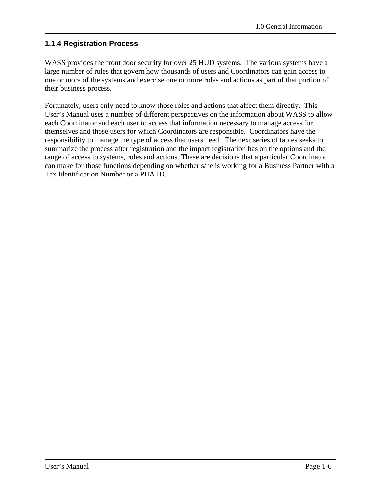## **1.1.4 Registration Process**

WASS provides the front door security for over 25 HUD systems. The various systems have a large number of rules that govern how thousands of users and Coordinators can gain access to one or more of the systems and exercise one or more roles and actions as part of that portion of their business process.

Fortunately, users only need to know those roles and actions that affect them directly. This User's Manual uses a number of different perspectives on the information about WASS to allow each Coordinator and each user to access that information necessary to manage access for themselves and those users for which Coordinators are responsible. Coordinators have the responsibility to manage the type of access that users need. The next series of tables seeks to summarize the process after registration and the impact registration has on the options and the range of access to systems, roles and actions. These are decisions that a particular Coordinator can make for those functions depending on whether s/he is working for a Business Partner with a Tax Identification Number or a PHA ID.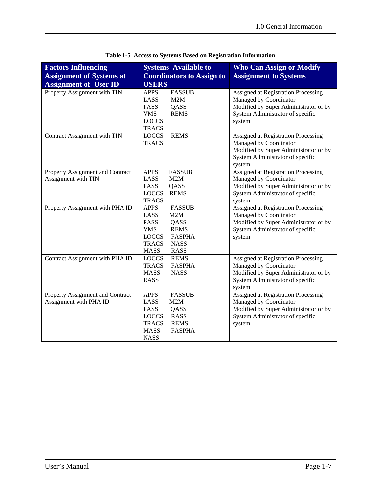| <b>Factors Influencing</b><br><b>Assignment of Systems at</b><br><b>Assignment of User ID</b> | <b>Systems Available to</b><br><b>Coordinators to Assign to</b><br><b>USERS</b>                                                                                                               | <b>Who Can Assign or Modify</b><br><b>Assignment to Systems</b>                                                                                             |
|-----------------------------------------------------------------------------------------------|-----------------------------------------------------------------------------------------------------------------------------------------------------------------------------------------------|-------------------------------------------------------------------------------------------------------------------------------------------------------------|
| Property Assignment with TIN                                                                  | <b>FASSUB</b><br><b>APPS</b><br>LASS<br>M2M<br><b>PASS</b><br>QASS<br><b>VMS</b><br><b>REMS</b><br><b>LOCCS</b><br><b>TRACS</b>                                                               | Assigned at Registration Processing<br>Managed by Coordinator<br>Modified by Super Administrator or by<br>System Administrator of specific<br>system        |
| Contract Assignment with TIN                                                                  | <b>REMS</b><br><b>LOCCS</b><br><b>TRACS</b>                                                                                                                                                   | Assigned at Registration Processing<br>Managed by Coordinator<br>Modified by Super Administrator or by<br>System Administrator of specific<br>system        |
| Property Assignment and Contract<br>Assignment with TIN                                       | <b>APPS</b><br><b>FASSUB</b><br>LASS<br>M2M<br><b>PASS</b><br>QASS<br><b>LOCCS</b><br><b>REMS</b><br><b>TRACS</b>                                                                             | <b>Assigned at Registration Processing</b><br>Managed by Coordinator<br>Modified by Super Administrator or by<br>System Administrator of specific<br>system |
| Property Assignment with PHA ID                                                               | <b>FASSUB</b><br><b>APPS</b><br>LASS<br>M2M<br><b>PASS</b><br>QASS<br><b>VMS</b><br><b>REMS</b><br><b>FASPHA</b><br><b>LOCCS</b><br><b>TRACS</b><br><b>NASS</b><br><b>MASS</b><br><b>RASS</b> | Assigned at Registration Processing<br>Managed by Coordinator<br>Modified by Super Administrator or by<br>System Administrator of specific<br>system        |
| Contract Assignment with PHA ID                                                               | <b>LOCCS</b><br><b>REMS</b><br><b>FASPHA</b><br><b>TRACS</b><br><b>MASS</b><br><b>NASS</b><br><b>RASS</b>                                                                                     | Assigned at Registration Processing<br>Managed by Coordinator<br>Modified by Super Administrator or by<br>System Administrator of specific<br>system        |
| Property Assignment and Contract<br>Assignment with PHA ID                                    | <b>APPS</b><br><b>FASSUB</b><br>LASS<br>M2M<br><b>PASS</b><br>QASS<br><b>LOCCS</b><br><b>RASS</b><br><b>TRACS</b><br><b>REMS</b><br><b>FASPHA</b><br><b>MASS</b><br><b>NASS</b>               | <b>Assigned at Registration Processing</b><br>Managed by Coordinator<br>Modified by Super Administrator or by<br>System Administrator of specific<br>system |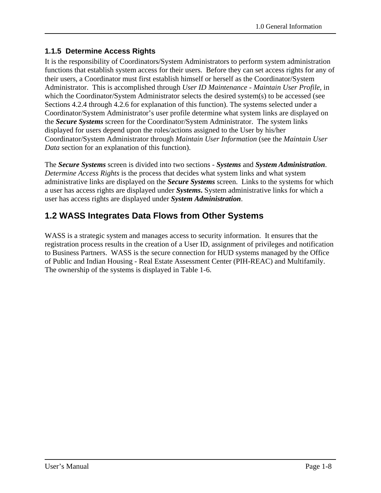## **1.1.5 Determine Access Rights**

It is the responsibility of Coordinators/System Administrators to perform system administration functions that establish system access for their users. Before they can set access rights for any of their users, a Coordinator must first establish himself or herself as the Coordinator/System Administrator. This is accomplished through *User ID Maintenance - Maintain User Profile*, in which the Coordinator/System Administrator selects the desired system(s) to be accessed (see Sections 4.2.4 through 4.2.6 for explanation of this function). The systems selected under a Coordinator/System Administrator's user profile determine what system links are displayed on the *Secure Systems* screen for the Coordinator/System Administrator. The system links displayed for users depend upon the roles/actions assigned to the User by his/her Coordinator/System Administrator through *Maintain User Information* (see the *Maintain User Data* section for an explanation of this function).

The *Secure Systems* screen is divided into two sections - *Systems* and *System Administration*.*Determine Access Rights* is the process that decides what system links and what system administrative links are displayed on the *Secure Systems* screen. Links to the systems for which a user has access rights are displayed under *Systems***.** System administrative links for which a user has access rights are displayed under *System Administration*.

# **1.2 WASS Integrates Data Flows from Other Systems**

WASS is a strategic system and manages access to security information. It ensures that the registration process results in the creation of a User ID, assignment of privileges and notification to Business Partners. WASS is the secure connection for HUD systems managed by the Office of Public and Indian Housing - Real Estate Assessment Center (PIH-REAC) and Multifamily. The ownership of the systems is displayed in Table 1-6.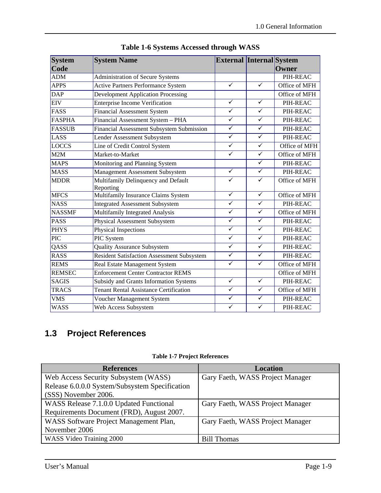| <b>System</b><br>Code | <b>System Name</b>                                | <b>External Internal System</b> |                         | Owner         |
|-----------------------|---------------------------------------------------|---------------------------------|-------------------------|---------------|
| ADM                   | Administration of Secure Systems                  |                                 |                         | PIH-REAC      |
| <b>APPS</b>           | <b>Active Partners Performance System</b>         | $\overline{\checkmark}$         | $\checkmark$            | Office of MFH |
| <b>DAP</b>            | <b>Development Application Processing</b>         |                                 |                         | Office of MFH |
| <b>EIV</b>            | <b>Enterprise Income Verification</b>             | $\overline{\checkmark}$         | $\checkmark$            | PIH-REAC      |
| FASS                  | <b>Financial Assessment System</b>                | $\overline{\checkmark}$         | $\checkmark$            | PIH-REAC      |
| <b>FASPHA</b>         | Financial Assessment System - PHA                 | $\overline{\checkmark}$         | $\overline{\checkmark}$ | PIH-REAC      |
| <b>FASSUB</b>         | Financial Assessment Subsystem Submission         | $\overline{\checkmark}$         | $\overline{\checkmark}$ | PIH-REAC      |
| LASS                  | Lender Assessment Subsystem                       | $\overline{\checkmark}$         | $\overline{\checkmark}$ | PIH-REAC      |
| LOCCS                 | Line of Credit Control System                     | $\overline{\checkmark}$         | $\overline{\checkmark}$ | Office of MFH |
| M2M                   | Market-to-Market                                  | $\overline{\checkmark}$         | $\overline{\checkmark}$ | Office of MFH |
| <b>MAPS</b>           | Monitoring and Planning System                    |                                 | $\checkmark$            | PIH-REAC      |
| <b>MASS</b>           | Management Assessment Subsystem                   | $\checkmark$                    | $\checkmark$            | PIH-REAC      |
| <b>MDDR</b>           | Multifamily Delinquency and Default<br>Reporting  | $\checkmark$                    | $\overline{\checkmark}$ | Office of MFH |
| <b>MFCS</b>           | Multifamily Insurance Claims System               | $\checkmark$                    | $\checkmark$            | Office of MFH |
| <b>NASS</b>           | <b>Integrated Assessment Subsystem</b>            | $\checkmark$                    | $\checkmark$            | PIH-REAC      |
| <b>NASSMF</b>         | Multifamily Integrated Analysis                   | $\overline{\checkmark}$         | $\overline{\checkmark}$ | Office of MFH |
| <b>PASS</b>           | Physical Assessment Subsystem                     | $\overline{\checkmark}$         | $\checkmark$            | PIH-REAC      |
| <b>PHYS</b>           | Physical Inspections                              | $\overline{\checkmark}$         | $\overline{\checkmark}$ | PIH-REAC      |
| <b>PIC</b>            | PIC System                                        | $\checkmark$                    | $\checkmark$            | PIH-REAC      |
| QASS                  | Quality Assurance Subsystem                       | $\overline{\checkmark}$         | $\overline{\checkmark}$ | PIH-REAC      |
| <b>RASS</b>           | <b>Resident Satisfaction Assessment Subsystem</b> | $\checkmark$                    | $\checkmark$            | PIH-REAC      |
| <b>REMS</b>           | Real Estate Management System                     | $\overline{\checkmark}$         | $\overline{\checkmark}$ | Office of MFH |
| <b>REMSEC</b>         | <b>Enforcement Center Contractor REMS</b>         |                                 |                         | Office of MFH |
| <b>SAGIS</b>          | Subsidy and Grants Information Systems            | $\overline{\checkmark}$         | $\overline{\checkmark}$ | PIH-REAC      |
| <b>TRACS</b>          | Tenant Rental Assistance Certification            | $\checkmark$                    | $\checkmark$            | Office of MFH |
| <b>VMS</b>            | Voucher Management System                         | $\overline{\checkmark}$         | $\overline{\checkmark}$ | PIH-REAC      |
| <b>WASS</b>           | Web Access Subsystem                              | $\overline{\checkmark}$         | $\overline{\checkmark}$ | PIH-REAC      |

**Table 1-6 Systems Accessed through WASS** 

# **1.3 Project References**

| <b>References</b>                              | <b>Location</b>                  |
|------------------------------------------------|----------------------------------|
| Web Access Security Subsystem (WASS)           | Gary Faeth, WASS Project Manager |
| Release 6.0.0.0 System/Subsystem Specification |                                  |
| (SSS) November 2006.                           |                                  |
| WASS Release 7.1.0.0 Updated Functional        | Gary Faeth, WASS Project Manager |
| Requirements Document (FRD), August 2007.      |                                  |
| WASS Software Project Management Plan,         | Gary Faeth, WASS Project Manager |
| November 2006                                  |                                  |
| WASS Video Training 2000                       | <b>Bill Thomas</b>               |

**Table 1-7 Project References**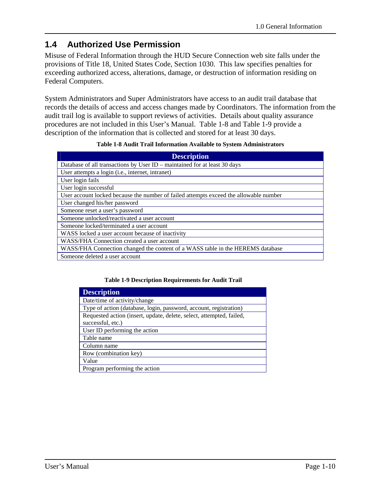# **1.4 Authorized Use Permission**

Misuse of Federal Information through the HUD Secure Connection web site falls under the provisions of Title 18, United States Code, Section 1030. This law specifies penalties for exceeding authorized access, alterations, damage, or destruction of information residing on Federal Computers.

System Administrators and Super Administrators have access to an audit trail database that records the details of access and access changes made by Coordinators. The information from the audit trail log is available to support reviews of activities. Details about quality assurance procedures are not included in this User's Manual. Table 1-8 and Table 1-9 provide a description of the information that is collected and stored for at least 30 days.

| <b>Description</b>                                                                    |
|---------------------------------------------------------------------------------------|
| Database of all transactions by User ID – maintained for at least 30 days             |
| User attempts a login ( <i>i.e.</i> , internet, intranet)                             |
| User login fails                                                                      |
| User login successful                                                                 |
| User account locked because the number of failed attempts exceed the allowable number |
| User changed his/her password                                                         |
| Someone reset a user's password                                                       |
| Someone unlocked/reactivated a user account                                           |
| Someone locked/terminated a user account                                              |
| WASS locked a user account because of inactivity                                      |
| WASS/FHA Connection created a user account                                            |
| WASS/FHA Connection changed the content of a WASS table in the HEREMS database        |
| Someone deleted a user account                                                        |

#### **Table 1-9 Description Requirements for Audit Trail**

| <b>Description</b>                                                   |
|----------------------------------------------------------------------|
| Date/time of activity/change                                         |
| Type of action (database, login, password, account, registration)    |
| Requested action (insert, update, delete, select, attempted, failed, |
| successful, etc.)                                                    |
| User ID performing the action                                        |
| Table name                                                           |
| Column name                                                          |
| Row (combination key)                                                |
| Value                                                                |
| Program performing the action                                        |
|                                                                      |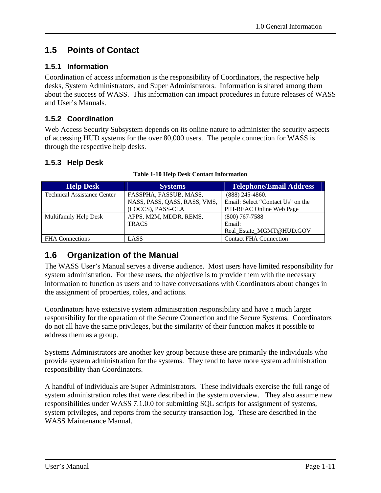## **1.5 Points of Contact**

## **1.5.1 Information**

Coordination of access information is the responsibility of Coordinators, the respective help desks, System Administrators, and Super Administrators. Information is shared among them about the success of WASS. This information can impact procedures in future releases of WASS and User's Manuals.

## **1.5.2 Coordination**

Web Access Security Subsystem depends on its online nature to administer the security aspects of accessing HUD systems for the over 80,000 users. The people connection for WASS is through the respective help desks.

### **1.5.3 Help Desk**

| <b>Help Desk</b>                   | <b>Systems</b>               | <b>Telephone/Email Address</b>    |
|------------------------------------|------------------------------|-----------------------------------|
| <b>Technical Assistance Center</b> | FASSPHA, FASSUB, MASS,       | $(888)$ 245-4860.                 |
|                                    | NASS, PASS, QASS, RASS, VMS, | Email: Select "Contact Us" on the |
|                                    | (LOCCS), PASS-CLA            | PIH-REAC Online Web Page          |
| Multifamily Help Desk              | APPS, M2M, MDDR, REMS,       | $(800)$ 767-7588                  |
|                                    | <b>TRACS</b>                 | Email:                            |
|                                    |                              | Real Estate MGMT@HUD.GOV          |
| <b>FHA</b> Connections             | LASS                         | <b>Contact FHA Connection</b>     |

#### **Table 1-10 Help Desk Contact Information**

## **1.6 Organization of the Manual**

The WASS User's Manual serves a diverse audience. Most users have limited responsibility for system administration. For these users, the objective is to provide them with the necessary information to function as users and to have conversations with Coordinators about changes in the assignment of properties, roles, and actions.

Coordinators have extensive system administration responsibility and have a much larger responsibility for the operation of the Secure Connection and the Secure Systems. Coordinators do not all have the same privileges, but the similarity of their function makes it possible to address them as a group.

Systems Administrators are another key group because these are primarily the individuals who provide system administration for the systems. They tend to have more system administration responsibility than Coordinators.

A handful of individuals are Super Administrators. These individuals exercise the full range of system administration roles that were described in the system overview. They also assume new responsibilities under WASS 7.1.0.0 for submitting SQL scripts for assignment of systems, system privileges, and reports from the security transaction log. These are described in the WASS Maintenance Manual.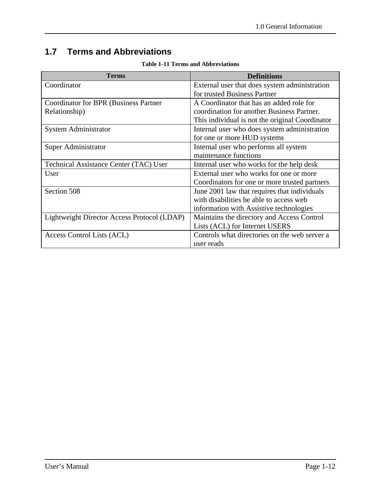# **1.7 Terms and Abbreviations**

| <b>Terms</b>                                 | <b>Definitions</b>                              |
|----------------------------------------------|-------------------------------------------------|
| Coordinator                                  | External user that does system administration   |
|                                              | for trusted Business Partner                    |
| <b>Coordinator for BPR (Business Partner</b> | A Coordinator that has an added role for        |
| Relationship)                                | coordination for another Business Partner.      |
|                                              | This individual is not the original Coordinator |
| System Administrator                         | Internal user who does system administration    |
|                                              | for one or more HUD systems                     |
| Super Administrator                          | Internal user who performs all system           |
|                                              | maintenance functions                           |
| Technical Assistance Center (TAC) User       | Internal user who works for the help desk       |
| User                                         | External user who works for one or more         |
|                                              | Coordinators for one or more trusted partners   |
| Section 508                                  | June 2001 law that requires that individuals    |
|                                              | with disabilities be able to access web         |
|                                              | information with Assistive technologies         |
| Lightweight Director Access Protocol (LDAP)  | Maintains the directory and Access Control      |
|                                              | Lists (ACL) for Internet USERS                  |
| Access Control Lists (ACL)                   | Controls what directories on the web server a   |
|                                              | user reads                                      |

#### **Table 1-11 Terms and Abbreviations**